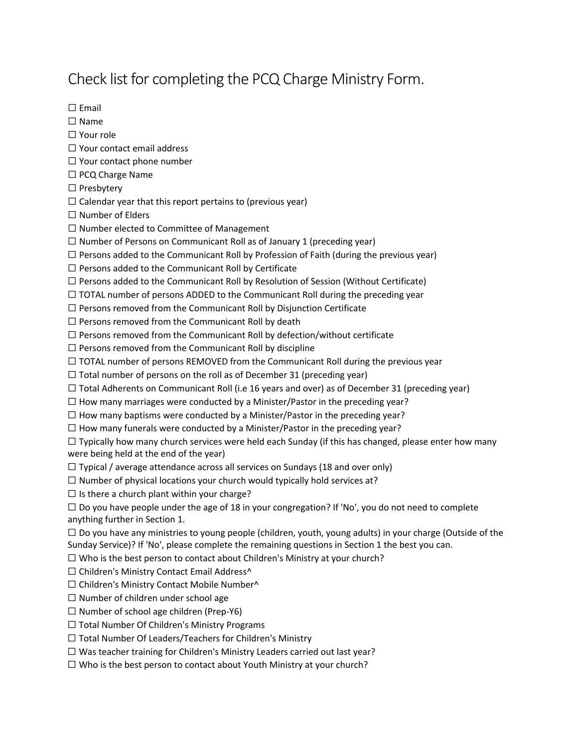## Check list for completing the PCQ Charge Ministry Form.

☐ Email

☐ Name

☐ Your role

☐ Your contact email address

☐ Your contact phone number

□ PCQ Charge Name

☐ Presbytery

 $\Box$  Calendar year that this report pertains to (previous year)

☐ Number of Elders

☐ Number elected to Committee of Management

 $\Box$  Number of Persons on Communicant Roll as of January 1 (preceding year)

 $\Box$  Persons added to the Communicant Roll by Profession of Faith (during the previous year)

 $\Box$  Persons added to the Communicant Roll by Certificate

 $\Box$  Persons added to the Communicant Roll by Resolution of Session (Without Certificate)

 $\Box$  TOTAL number of persons ADDED to the Communicant Roll during the preceding year

 $\Box$  Persons removed from the Communicant Roll by Disjunction Certificate

 $\Box$  Persons removed from the Communicant Roll by death

☐ Persons removed from the Communicant Roll by defection/without certificate

 $\Box$  Persons removed from the Communicant Roll by discipline

 $\Box$  TOTAL number of persons REMOVED from the Communicant Roll during the previous year

 $\Box$  Total number of persons on the roll as of December 31 (preceding year)

 $\Box$  Total Adherents on Communicant Roll (i.e 16 years and over) as of December 31 (preceding year)

 $\Box$  How many marriages were conducted by a Minister/Pastor in the preceding year?

 $\Box$  How many baptisms were conducted by a Minister/Pastor in the preceding year?

 $\Box$  How many funerals were conducted by a Minister/Pastor in the preceding year?

 $\Box$  Typically how many church services were held each Sunday (if this has changed, please enter how many were being held at the end of the year)

 $\Box$  Typical / average attendance across all services on Sundays (18 and over only)

 $\Box$  Number of physical locations your church would typically hold services at?

 $\Box$  Is there a church plant within your charge?

 $\Box$  Do you have people under the age of 18 in your congregation? If 'No', you do not need to complete anything further in Section 1.

 $\Box$  Do you have any ministries to young people (children, youth, young adults) in your charge (Outside of the Sunday Service)? If 'No', please complete the remaining questions in Section 1 the best you can.

☐ Who is the best person to contact about Children's Ministry at your church?

□ Children's Ministry Contact Email Address^

☐ Children's Ministry Contact Mobile Number^

☐ Number of children under school age

☐ Number of school age children (Prep-Y6)

☐ Total Number Of Children's Ministry Programs

☐ Total Number Of Leaders/Teachers for Children's Ministry

☐ Was teacher training for Children's Ministry Leaders carried out last year?

 $\Box$  Who is the best person to contact about Youth Ministry at your church?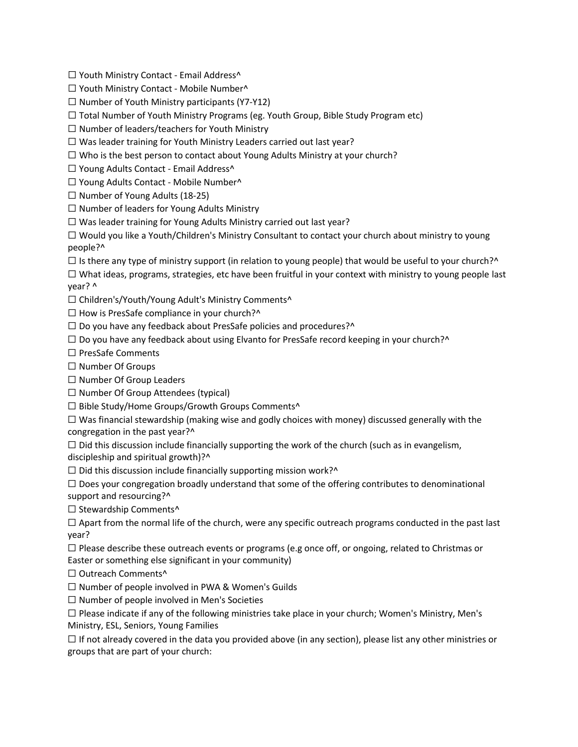□ Youth Ministry Contact - Email Address^

- ☐ Youth Ministry Contact Mobile Number^
- $\Box$  Number of Youth Ministry participants (Y7-Y12)
- $\Box$  Total Number of Youth Ministry Programs (eg. Youth Group, Bible Study Program etc)
- ☐ Number of leaders/teachers for Youth Ministry
- $\Box$  Was leader training for Youth Ministry Leaders carried out last year?
- ☐ Who is the best person to contact about Young Adults Ministry at your church?
- □ Young Adults Contact Email Address^
- ☐ Young Adults Contact Mobile Number^
- $\Box$  Number of Young Adults (18-25)
- ☐ Number of leaders for Young Adults Ministry
- ☐ Was leader training for Young Adults Ministry carried out last year?
- ☐ Would you like a Youth/Children's Ministry Consultant to contact your church about ministry to young people?^
- $\Box$  Is there any type of ministry support (in relation to young people) that would be useful to your church?^
- ☐ What ideas, programs, strategies, etc have been fruitful in your context with ministry to young people last year? ^
- ☐ Children's/Youth/Young Adult's Ministry Comments^
- $\Box$  How is PresSafe compliance in your church?^
- $\Box$  Do you have any feedback about PresSafe policies and procedures?^
- $\Box$  Do you have any feedback about using Elvanto for PresSafe record keeping in your church?^
- ☐ PresSafe Comments
- ☐ Number Of Groups
- ☐ Number Of Group Leaders
- $\Box$  Number Of Group Attendees (typical)
- □ Bible Study/Home Groups/Growth Groups Comments^
- $\Box$  Was financial stewardship (making wise and godly choices with money) discussed generally with the congregation in the past year?^
- $\Box$  Did this discussion include financially supporting the work of the church (such as in evangelism, discipleship and spiritual growth)?^
- $\Box$  Did this discussion include financially supporting mission work?^
- $\Box$  Does your congregation broadly understand that some of the offering contributes to denominational support and resourcing?^
- $\Box$  Stewardship Comments<sup>^</sup>
- $\Box$  Apart from the normal life of the church, were any specific outreach programs conducted in the past last year?
- $\Box$  Please describe these outreach events or programs (e.g once off, or ongoing, related to Christmas or
- Easter or something else significant in your community)
- □ Outreach Comments^
- ☐ Number of people involved in PWA & Women's Guilds
- $\Box$  Number of people involved in Men's Societies
- $\square$  Please indicate if any of the following ministries take place in your church; Women's Ministry, Men's Ministry, ESL, Seniors, Young Families
- $\Box$  If not already covered in the data you provided above (in any section), please list any other ministries or groups that are part of your church: